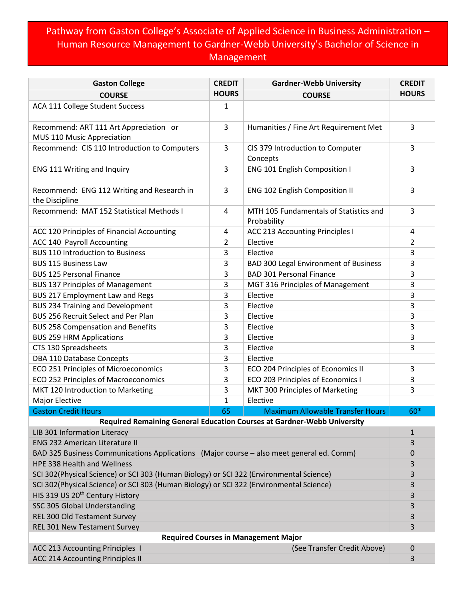## Pathway from Gaston College's Associate of Applied Science in Business Administration – Human Resource Management to Gardner-Webb University's Bachelor of Science in Management

| <b>Gaston College</b>                                                                    | <b>CREDIT</b> | <b>Gardner-Webb University</b>                        | <b>CREDIT</b>  |  |
|------------------------------------------------------------------------------------------|---------------|-------------------------------------------------------|----------------|--|
| <b>COURSE</b>                                                                            | <b>HOURS</b>  | <b>COURSE</b>                                         | <b>HOURS</b>   |  |
| ACA 111 College Student Success                                                          | 1             |                                                       |                |  |
| Recommend: ART 111 Art Appreciation or<br>MUS 110 Music Appreciation                     | 3             | Humanities / Fine Art Requirement Met                 | $\overline{3}$ |  |
| Recommend: CIS 110 Introduction to Computers                                             | 3             | CIS 379 Introduction to Computer<br>Concepts          | 3              |  |
| ENG 111 Writing and Inquiry                                                              | 3             | ENG 101 English Composition I                         | 3              |  |
| Recommend: ENG 112 Writing and Research in<br>the Discipline                             | 3             | ENG 102 English Composition II                        | 3              |  |
| Recommend: MAT 152 Statistical Methods I                                                 | 4             | MTH 105 Fundamentals of Statistics and<br>Probability | 3              |  |
| ACC 120 Principles of Financial Accounting                                               | 4             | ACC 213 Accounting Principles I                       | 4              |  |
| ACC 140 Payroll Accounting                                                               | 2             | Elective                                              | 2              |  |
| <b>BUS 110 Introduction to Business</b>                                                  | 3             | Elective                                              | 3              |  |
| <b>BUS 115 Business Law</b>                                                              | 3             | <b>BAD 300 Legal Environment of Business</b>          | 3              |  |
| <b>BUS 125 Personal Finance</b>                                                          | 3             | <b>BAD 301 Personal Finance</b>                       | 3              |  |
| <b>BUS 137 Principles of Management</b>                                                  | 3             | MGT 316 Principles of Management                      | 3              |  |
| BUS 217 Employment Law and Regs                                                          | 3             | Elective                                              | 3              |  |
| <b>BUS 234 Training and Development</b>                                                  | 3             | Elective                                              | 3              |  |
| <b>BUS 256 Recruit Select and Per Plan</b>                                               | 3             | Elective                                              | 3              |  |
| <b>BUS 258 Compensation and Benefits</b>                                                 | 3             | Elective                                              | 3              |  |
| <b>BUS 259 HRM Applications</b>                                                          | 3             | Elective                                              | 3              |  |
| CTS 130 Spreadsheets                                                                     | 3             | Elective                                              | 3              |  |
| DBA 110 Database Concepts                                                                | 3             | Elective                                              |                |  |
| ECO 251 Principles of Microeconomics                                                     | 3             | ECO 204 Principles of Economics II                    | 3              |  |
| ECO 252 Principles of Macroeconomics                                                     | 3             | ECO 203 Principles of Economics I                     | 3              |  |
| MKT 120 Introduction to Marketing                                                        | 3             | MKT 300 Principles of Marketing                       | 3              |  |
| Major Elective                                                                           | 1             | Elective                                              |                |  |
| <b>Gaston Credit Hours</b>                                                               | 65            | <b>Maximum Allowable Transfer Hours</b>               | 60*            |  |
| Required Remaining General Education Courses at Gardner-Webb University                  |               |                                                       |                |  |
| LIB 301 Information Literacy                                                             |               |                                                       | $\mathbf{1}$   |  |
| <b>ENG 232 American Literature II</b>                                                    |               |                                                       | 3              |  |
| BAD 325 Business Communications Applications (Major course - also meet general ed. Comm) |               |                                                       | $\mathbf 0$    |  |
| HPE 338 Health and Wellness                                                              |               |                                                       | 3              |  |
| SCI 302(Physical Science) or SCI 303 (Human Biology) or SCI 322 (Environmental Science)  |               |                                                       | 3              |  |
| SCI 302(Physical Science) or SCI 303 (Human Biology) or SCI 322 (Environmental Science)  |               |                                                       | 3              |  |
| HIS 319 US 20 <sup>th</sup> Century History                                              |               |                                                       | 3              |  |
| SSC 305 Global Understanding                                                             |               |                                                       | 3              |  |
| REL 300 Old Testament Survey                                                             |               |                                                       | 3              |  |
| REL 301 New Testament Survey                                                             |               |                                                       | 3              |  |
| <b>Required Courses in Management Major</b>                                              |               |                                                       |                |  |
| ACC 213 Accounting Principles 1                                                          |               | (See Transfer Credit Above)                           | $\mathbf 0$    |  |
| <b>ACC 214 Accounting Principles II</b>                                                  |               |                                                       | 3              |  |